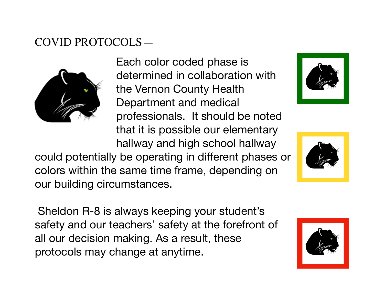## COVID PROTOCOLS—



Each color coded phase is determined in collaboration with the Vernon County Health Department and medical professionals. It should be noted that it is possible our elementary

hallway and high school hallway could potentially be operating in different phases or colors within the same time frame, depending on our building circumstances.



 Sheldon R-8 is always keeping your student's safety and our teachers' safety at the forefront of all our decision making. As a result, these protocols may change at anytime.

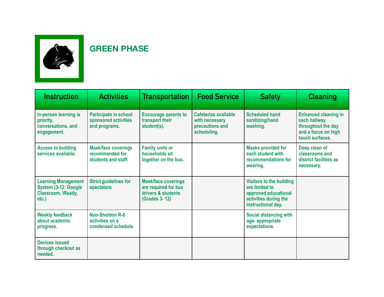

## **GREEN PHASE**

| <b>Instruction</b>                                                               | <b>Activities</b>                                                    | <b>Transportation</b>                                                                     | <b>Food Service</b>                                                      | <b>Safety</b>                                                                                                            | <b>Cleaning</b>                                                                                             |
|----------------------------------------------------------------------------------|----------------------------------------------------------------------|-------------------------------------------------------------------------------------------|--------------------------------------------------------------------------|--------------------------------------------------------------------------------------------------------------------------|-------------------------------------------------------------------------------------------------------------|
| In-person learning is<br>priority,<br>conversations, and<br>engagement.          | Participate in school<br>sponsored activities<br>and programs.       | <b>Encourage parents to</b><br>transport their<br>student(s).                             | Cafeterias available<br>with necessary<br>precautions and<br>scheduling. | <b>Scheduled hand</b><br>sanitizing/hand<br>washing.                                                                     | <b>Enhanced cleaning in</b><br>each hallway<br>throughout the day<br>and a focus on high<br>touch surfaces. |
| <b>Access to building</b><br>services available.                                 | <b>Mask/face coverings</b><br>recommended for<br>students and staff. | <b>Family units or</b><br>households sit<br>together on the bus.                          |                                                                          | <b>Masks provided for</b><br>each student with<br>recommendations for<br>wearing.                                        | Deep clean of<br>classrooms and<br>district facilities as<br>necessary.                                     |
| <b>Learning Management</b><br>System (3-12: Google<br>Classroom, iReady,<br>etc. | <b>Strict guidelines for</b><br>spectators                           | <b>Mask/face coverings</b><br>are required for bus<br>drivers & students<br>(Grades 3-12) |                                                                          | <b>Visitors to the building</b><br>are limited to<br>approved educational<br>activities during the<br>instructional day. |                                                                                                             |
| <b>Weekly feedback</b><br>about academic<br>progress.                            | <b>Non-Sheldon R-8</b><br>activities on a<br>condensed schedule.     |                                                                                           |                                                                          | <b>Social distancing with</b><br>age-appropriate<br>expectations.                                                        |                                                                                                             |
| <b>Devices issued</b><br>through checkout as<br>needed.                          |                                                                      |                                                                                           |                                                                          |                                                                                                                          |                                                                                                             |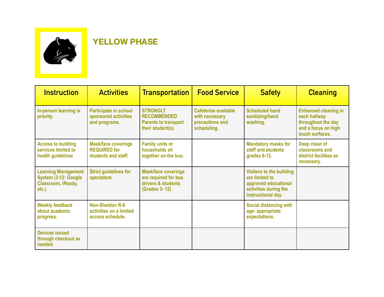

## **YELLOW PHASE**

| <b>Instruction</b>                                                                   | <b>Activities</b>                                                        | <b>Transportation</b>                                                                            | <b>Food Service</b>                                                      | <b>Safety</b>                                                                                                            | <b>Cleaning</b>                                                                                             |
|--------------------------------------------------------------------------------------|--------------------------------------------------------------------------|--------------------------------------------------------------------------------------------------|--------------------------------------------------------------------------|--------------------------------------------------------------------------------------------------------------------------|-------------------------------------------------------------------------------------------------------------|
| In-person learning is<br>priority.                                                   | <b>Participate in school</b><br>sponsored activities<br>and programs.    | <b>STRONGLY</b><br><b>RECOMMENDED</b><br><b>Parents to transport</b><br>their student(s).        | Cafeterias available<br>with necessary<br>precautions and<br>scheduling. | <b>Scheduled hand</b><br>sanitizing/hand<br>washing.                                                                     | <b>Enhanced cleaning in</b><br>each hallway<br>throughout the day<br>and a focus on high<br>touch surfaces. |
| <b>Access to building</b><br>services limited to<br>health guidelines                | <b>Mask/face coverings</b><br><b>REQUIRED for</b><br>students and staff. | <b>Family units or</b><br>households sit<br>together on the bus.                                 |                                                                          | <b>Mandatory masks for</b><br>staff and students<br>grades 6-12.                                                         | Deep clean of<br>classrooms and<br>district facilities as<br>necessary.                                     |
| <b>Learning Management</b><br>System (3-12: Google<br>Classroom, iReady,<br>$etc.$ ) | <b>Strict guidelines for</b><br>spectators                               | <b>Mask/face coverings</b><br>are required for bus<br>drivers & students<br><b>(Grades 3-12)</b> |                                                                          | <b>Visitors to the building</b><br>are limited to<br>approved educational<br>activities during the<br>instructional day. |                                                                                                             |
| <b>Weekly feedback</b><br>about academic<br>progress.                                | <b>Non-Sheldon R-8</b><br>activities on a limited<br>access schedule.    |                                                                                                  |                                                                          | <b>Social distancing with</b><br>age-appropriate<br>expectations.                                                        |                                                                                                             |
| <b>Devices issued</b><br>through checkout as<br>needed.                              |                                                                          |                                                                                                  |                                                                          |                                                                                                                          |                                                                                                             |